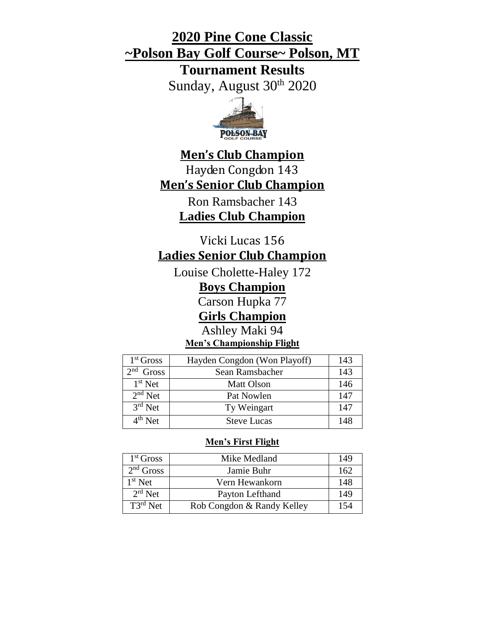# **2020 Pine Cone Classic ~Polson Bay Golf Course~ Polson, MT**

**Tournament Results**

Sunday, August 30<sup>th</sup> 2020



# **Men's Club Champion** Hayden Congdon 143 **Men's Senior Club Champion**

Ron Ramsbacher 143 **Ladies Club Champion**

Vicki Lucas 156

# **Ladies Senior Club Champion**

Louise Cholette-Haley 172

**Boys Champion** 

Carson Hupka 77

**Girls Champion**

Ashley Maki 94

**Men's Championship Flight** 

| $1st$ Gross                     | Hayden Congdon (Won Playoff) | 143 |
|---------------------------------|------------------------------|-----|
| 2 <sub>nd</sub><br><b>Gross</b> | Sean Ramsbacher              | 143 |
| $1st$ Net                       | <b>Matt Olson</b>            | 146 |
| $2nd$ Net                       | Pat Nowlen                   | 147 |
| $3rd$ Net                       | Ty Weingart                  | 147 |
| $4th$ Net                       | <b>Steve Lucas</b>           | 148 |

# **Men's First Flight**

| 1 <sup>st</sup> Gross | Mike Medland               | 149 |
|-----------------------|----------------------------|-----|
| $2nd$ Gross           | Jamie Buhr                 | 162 |
| $1st$ Net             | Vern Hewankorn             | 148 |
| $2rd$ Net             | Payton Lefthand            | 149 |
| $T3^{rd}$ Net         | Rob Congdon & Randy Kelley | 154 |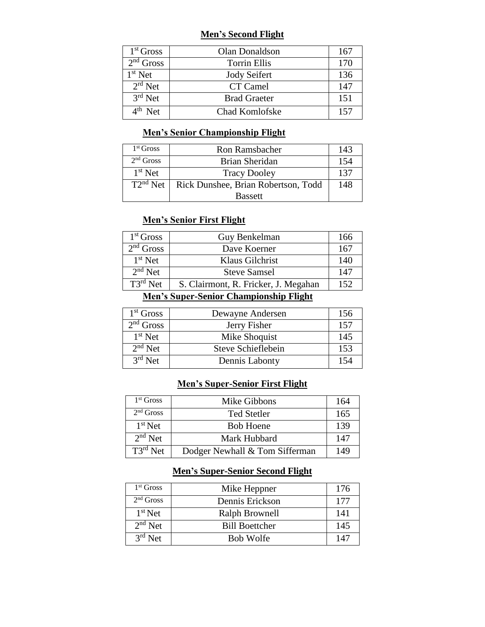### **Men's Second Flight**

| $1st$ Gross | Olan Donaldson      | 167 |
|-------------|---------------------|-----|
| $2nd$ Gross | <b>Torrin Ellis</b> | 170 |
| $1st$ Net   | <b>Jody Seifert</b> | 136 |
| $2rd$ Net   | CT Camel            | 147 |
| $3rd$ Net   | <b>Brad Graeter</b> | 151 |
| $4th$ Net   | Chad Komlofske      | 157 |

## **Men's Senior Championship Flight**

| 1 <sup>st</sup> Gross | <b>Ron Ramsbacher</b>               | 143 |
|-----------------------|-------------------------------------|-----|
| $2nd$ Gross           | Brian Sheridan                      | 154 |
| $1st$ Net             | <b>Tracy Dooley</b>                 | 137 |
| $T2^{nd}$ Net         | Rick Dunshee, Brian Robertson, Todd | 148 |
|                       | <b>Bassett</b>                      |     |

## **Men's Senior First Flight**

| 1 <sup>st</sup> Gross | Guy Benkelman                        | 166 |
|-----------------------|--------------------------------------|-----|
| $2nd$ Gross           | Dave Koerner                         | 167 |
| $1st$ Net             | Klaus Gilchrist                      | 140 |
| $2nd$ Net             | <b>Steve Samsel</b>                  | 147 |
| $T3^{rd}$ Net         | S. Clairmont, R. Fricker, J. Megahan | 152 |

## **Men's Super-Senior Championship Flight**

| $1st$ Gross | Dewayne Andersen   | 156 |
|-------------|--------------------|-----|
| $2nd$ Gross | Jerry Fisher       | 157 |
| $1st$ Net   | Mike Shoquist      | 145 |
| $2nd$ Net   | Steve Schieflebein | 153 |
| $3rd$ Net   | Dennis Labonty     | 154 |

## **Men's Super-Senior First Flight**

| $1st$ Gross   | Mike Gibbons                   | 164 |
|---------------|--------------------------------|-----|
| $2nd$ Gross   | <b>Ted Stetler</b>             | 165 |
| $1st$ Net     | <b>Bob Hoene</b>               | 139 |
| $2nd$ Net     | Mark Hubbard                   | 147 |
| $T3^{rd}$ Net | Dodger Newhall & Tom Sifferman | 149 |

## **Men's Super-Senior Second Flight**

| $1st$ Gross | Mike Heppner          | 176 |
|-------------|-----------------------|-----|
| $2nd$ Gross | Dennis Erickson       | 177 |
| $1st$ Net   | Ralph Brownell        | 141 |
| $2nd$ Net   | <b>Bill Boettcher</b> | 145 |
| $3rd$ Net   | <b>Bob Wolfe</b>      | 147 |